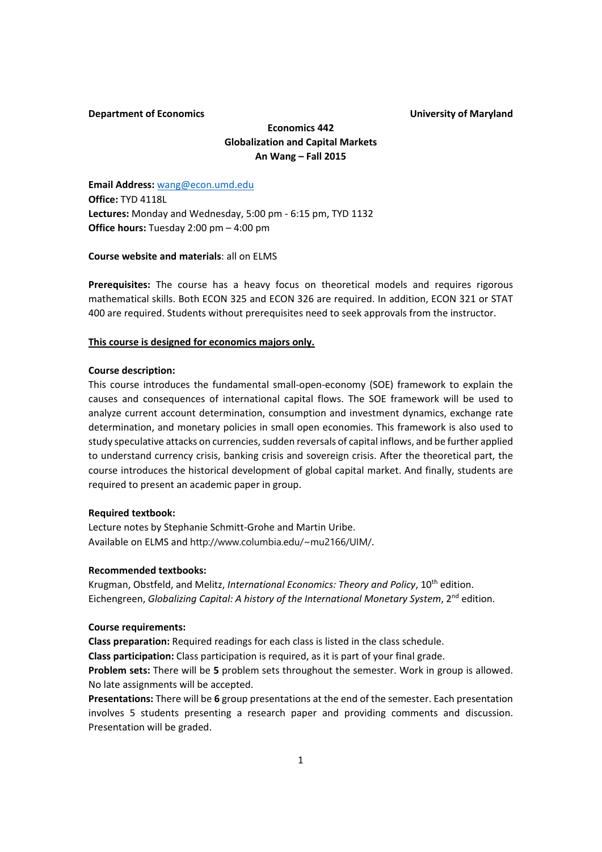## **Department of Economics University of Maryland**

# **Economics 442 Globalization and Capital Markets An Wang – Fall 2015**

**Email Address:** wang@econ.umd.edu **Office:** TYD 4118L **Lectures:** Monday and Wednesday, 5:00 pm ‐ 6:15 pm, TYD 1132 **Office hours:** Tuesday 2:00 pm – 4:00 pm

## **Course website and materials**: all on ELMS

Prerequisites: The course has a heavy focus on theoretical models and requires rigorous mathematical skills. Both ECON 325 and ECON 326 are required. In addition, ECON 321 or STAT 400 are required. Students without prerequisites need to seek approvals from the instructor.

#### **This course is designed for economics majors only.**

## **Course description:**

This course introduces the fundamental small-open-economy (SOE) framework to explain the causes and consequences of international capital flows. The SOE framework will be used to analyze current account determination, consumption and investment dynamics, exchange rate determination, and monetary policies in small open economies. This framework is also used to study speculative attacks on currencies, sudden reversals of capital inflows, and be further applied to understand currency crisis, banking crisis and sovereign crisis. After the theoretical part, the course introduces the historical development of global capital market. And finally, students are required to present an academic paper in group.

## **Required textbook:**

Lecture notes by Stephanie Schmitt‐Grohe and Martin Uribe. Available on ELMS and http://www.columbia.edu/~mu2166/UIM/.

#### **Recommended textbooks:**

Krugman, Obstfeld, and Melitz, *International Economics: Theory and Policy*, 10th edition. Eichengreen, *Globalizing Capital: A history of the International Monetary System*, 2nd edition.

## **Course requirements:**

**Class preparation:** Required readings for each class is listed in the class schedule.

**Class participation:** Class participation is required, as it is part of your final grade.

**Problem sets:** There will be **5** problem sets throughout the semester. Work in group is allowed. No late assignments will be accepted.

**Presentations:** There will be **6** group presentations at the end of the semester. Each presentation involves 5 students presenting a research paper and providing comments and discussion. Presentation will be graded.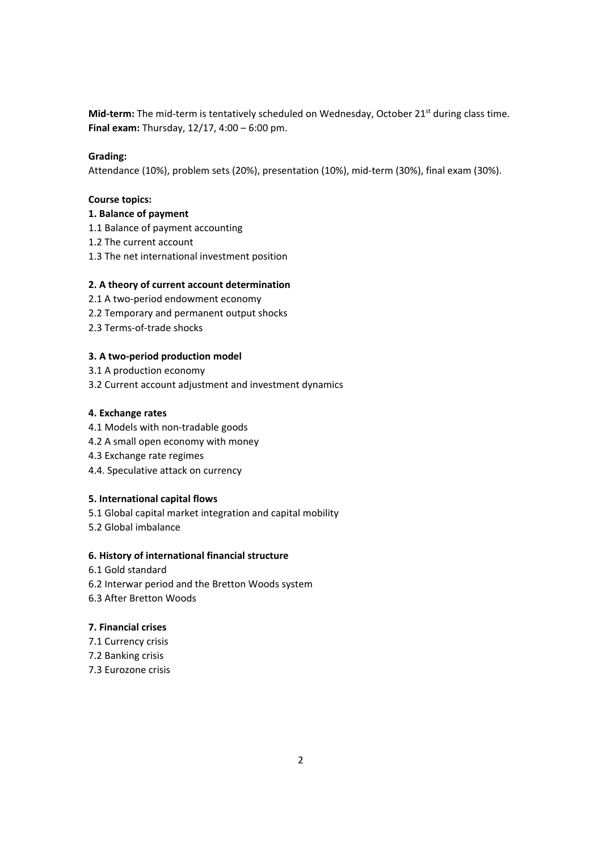**Mid-term:** The mid-term is tentatively scheduled on Wednesday, October 21<sup>st</sup> during class time. **Final exam:** Thursday, 12/17, 4:00 – 6:00 pm.

## **Grading:**

Attendance (10%), problem sets (20%), presentation (10%), mid‐term (30%), final exam (30%).

## **Course topics:**

## **1. Balance of payment**

- 1.1 Balance of payment accounting
- 1.2 The current account
- 1.3 The net international investment position

## **2. A theory of current account determination**

- 2.1 A two‐period endowment economy
- 2.2 Temporary and permanent output shocks
- 2.3 Terms‐of‐trade shocks

## **3. A two‐period production model**

- 3.1 A production economy
- 3.2 Current account adjustment and investment dynamics

#### **4. Exchange rates**

- 4.1 Models with non‐tradable goods
- 4.2 A small open economy with money
- 4.3 Exchange rate regimes
- 4.4. Speculative attack on currency

## **5. International capital flows**

- 5.1 Global capital market integration and capital mobility
- 5.2 Global imbalance

## **6. History of international financial structure**

- 6.1 Gold standard
- 6.2 Interwar period and the Bretton Woods system
- 6.3 After Bretton Woods

## **7. Financial crises**

- 7.1 Currency crisis
- 7.2 Banking crisis
- 7.3 Eurozone crisis